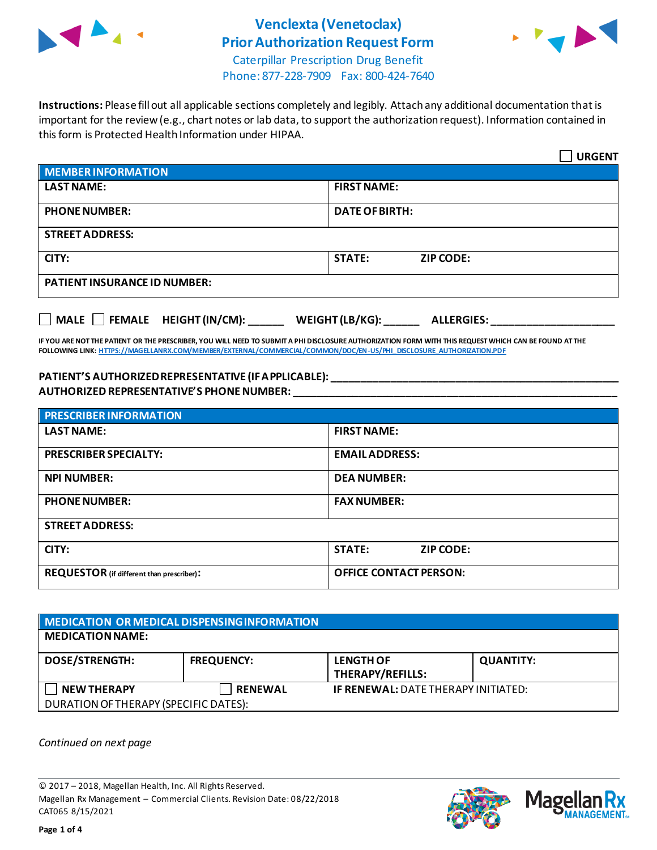

# **Venclexta (Venetoclax) Prior Authorization Request Form**



Caterpillar Prescription Drug Benefit Phone: 877-228-7909 Fax: 800-424-7640

**Instructions:** Please fill out all applicable sections completely and legibly. Attach any additional documentation that is important for the review (e.g., chart notes or lab data, to support the authorization request). Information contained in this form is Protected Health Information under HIPAA.

|                                           | <b>URGENT</b>                        |  |
|-------------------------------------------|--------------------------------------|--|
| <b>MEMBER INFORMATION</b>                 |                                      |  |
| <b>LAST NAME:</b>                         | <b>FIRST NAME:</b>                   |  |
| <b>PHONE NUMBER:</b>                      | <b>DATE OF BIRTH:</b>                |  |
| <b>STREET ADDRESS:</b>                    |                                      |  |
| CITY:                                     | <b>STATE:</b><br><b>ZIP CODE:</b>    |  |
| <b>PATIENT INSURANCE ID NUMBER:</b>       |                                      |  |
| $\Box$ MALE $\Box$ FEMALE HEIGHT (IN/CM): | WEIGHT (LB/KG):<br><b>ALLERGIES:</b> |  |

**IF YOU ARE NOT THE PATIENT OR THE PRESCRIBER, YOU WILL NEED TO SUBMIT A PHI DISCLOSURE AUTHORIZATION FORM WITH THIS REQUEST WHICH CAN BE FOUND AT THE FOLLOWING LINK[: HTTPS://MAGELLANRX.COM/MEMBER/EXTERNAL/COMMERCIAL/COMMON/DOC/EN-US/PHI\\_DISCLOSURE\\_AUTHORIZATION.PDF](https://magellanrx.com/member/external/commercial/common/doc/en-us/PHI_Disclosure_Authorization.pdf)**

#### **PATIENT'S AUTHORIZED REPRESENTATIVE (IF APPLICABLE): \_\_\_\_\_\_\_\_\_\_\_\_\_\_\_\_\_\_\_\_\_\_\_\_\_\_\_\_\_\_\_\_\_\_\_\_\_\_\_\_\_\_\_\_\_\_\_\_\_ AUTHORIZED REPRESENTATIVE'S PHONE NUMBER: \_\_\_\_\_\_\_\_\_\_\_\_\_\_\_\_\_\_\_\_\_\_\_\_\_\_\_\_\_\_\_\_\_\_\_\_\_\_\_\_\_\_\_\_\_\_\_\_\_\_\_\_\_\_\_**

| <b>PRESCRIBER INFORMATION</b>             |                               |  |
|-------------------------------------------|-------------------------------|--|
| <b>LAST NAME:</b>                         | <b>FIRST NAME:</b>            |  |
| <b>PRESCRIBER SPECIALTY:</b>              | <b>EMAIL ADDRESS:</b>         |  |
| <b>NPI NUMBER:</b>                        | <b>DEA NUMBER:</b>            |  |
| <b>PHONE NUMBER:</b>                      | <b>FAX NUMBER:</b>            |  |
| <b>STREET ADDRESS:</b>                    |                               |  |
| CITY:                                     | <b>STATE:</b><br>ZIP CODE:    |  |
| REQUESTOR (if different than prescriber): | <b>OFFICE CONTACT PERSON:</b> |  |

| MEDICATION OR MEDICAL DISPENSING INFORMATION |                   |                                             |                  |  |
|----------------------------------------------|-------------------|---------------------------------------------|------------------|--|
| <b>MEDICATION NAME:</b>                      |                   |                                             |                  |  |
| <b>DOSE/STRENGTH:</b>                        | <b>FREQUENCY:</b> | <b>LENGTH OF</b><br><b>THERAPY/REFILLS:</b> | <b>QUANTITY:</b> |  |
| <b>NEW THERAPY</b>                           | <b>RENEWAL</b>    | <b>IF RENEWAL: DATE THERAPY INITIATED:</b>  |                  |  |
| DURATION OF THERAPY (SPECIFIC DATES):        |                   |                                             |                  |  |

*Continued on next page*

© 2017 – 2018, Magellan Health, Inc. All Rights Reserved. Magellan Rx Management – Commercial Clients. Revision Date: 08/22/2018 CAT065 8/15/2021



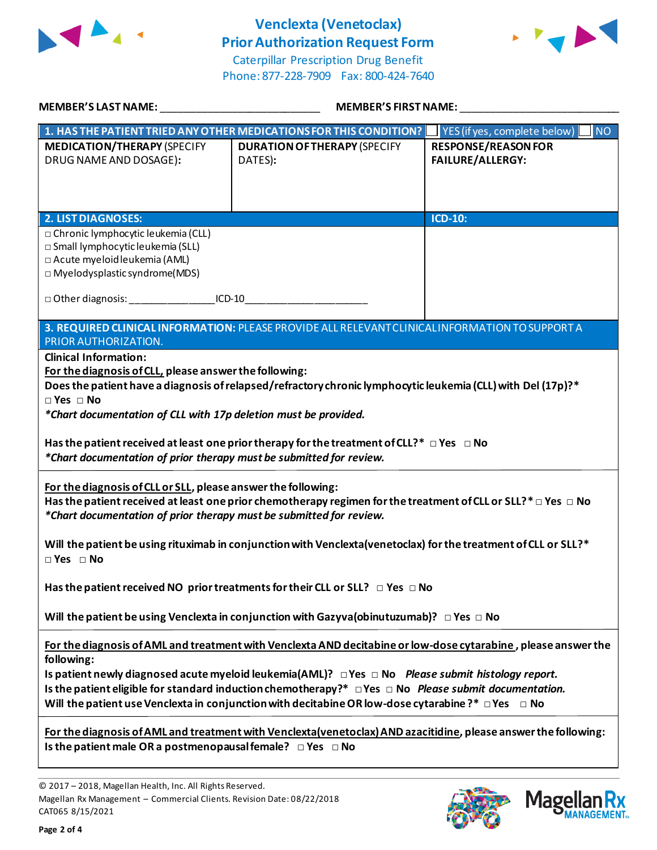

## **Venclexta (Venetoclax) Prior Authorization Request Form**





| <b>MEMBER'S LAST NAME:</b>                                                                                                                                                                                                                                                                                                                                                                                                                                                                                                                                                                                                                                                                                                                                                                                                                                                                    | <b>MEMBER'S FIRST NAME:</b>                                                                                                                                                                                                                                                                                                                                                                                                                                       |                                                             |  |  |
|-----------------------------------------------------------------------------------------------------------------------------------------------------------------------------------------------------------------------------------------------------------------------------------------------------------------------------------------------------------------------------------------------------------------------------------------------------------------------------------------------------------------------------------------------------------------------------------------------------------------------------------------------------------------------------------------------------------------------------------------------------------------------------------------------------------------------------------------------------------------------------------------------|-------------------------------------------------------------------------------------------------------------------------------------------------------------------------------------------------------------------------------------------------------------------------------------------------------------------------------------------------------------------------------------------------------------------------------------------------------------------|-------------------------------------------------------------|--|--|
|                                                                                                                                                                                                                                                                                                                                                                                                                                                                                                                                                                                                                                                                                                                                                                                                                                                                                               | 1. HAS THE PATIENT TRIED ANY OTHER MEDICATIONS FOR THIS CONDITION?                                                                                                                                                                                                                                                                                                                                                                                                | $\overline{\phantom{a}}$ NO<br>YES (if yes, complete below) |  |  |
| <b>MEDICATION/THERAPY (SPECIFY</b><br>DRUG NAME AND DOSAGE):                                                                                                                                                                                                                                                                                                                                                                                                                                                                                                                                                                                                                                                                                                                                                                                                                                  | <b>DURATION OF THERAPY (SPECIFY</b><br>DATES):                                                                                                                                                                                                                                                                                                                                                                                                                    | <b>RESPONSE/REASON FOR</b><br><b>FAILURE/ALLERGY:</b>       |  |  |
| <b>2. LIST DIAGNOSES:</b>                                                                                                                                                                                                                                                                                                                                                                                                                                                                                                                                                                                                                                                                                                                                                                                                                                                                     |                                                                                                                                                                                                                                                                                                                                                                                                                                                                   | <b>ICD-10:</b>                                              |  |  |
| □ Chronic lymphocytic leukemia (CLL)<br>□ Small lymphocytic leukemia (SLL)<br>□ Acute myeloid leukemia (AML)<br>$\square$ Myelodysplastic syndrome(MDS)<br>□ Other diagnosis: ________________________ICD-10______________________________                                                                                                                                                                                                                                                                                                                                                                                                                                                                                                                                                                                                                                                    |                                                                                                                                                                                                                                                                                                                                                                                                                                                                   |                                                             |  |  |
| PRIOR AUTHORIZATION.                                                                                                                                                                                                                                                                                                                                                                                                                                                                                                                                                                                                                                                                                                                                                                                                                                                                          | 3. REQUIRED CLINICAL INFORMATION: PLEASE PROVIDE ALL RELEVANT CLINICAL INFORMATION TO SUPPORT A                                                                                                                                                                                                                                                                                                                                                                   |                                                             |  |  |
| <b>Clinical Information:</b><br>For the diagnosis of CLL, please answer the following:<br>Does the patient have a diagnosis of relapsed/refractory chronic lymphocytic leukemia (CLL) with Del (17p)?*<br>$\Box$ Yes $\Box$ No<br>*Chart documentation of CLL with 17p deletion must be provided.<br>Has the patient received at least one prior therapy for the treatment of CLL?* $\Box$ Yes $\Box$ No<br>*Chart documentation of prior therapy must be submitted for review.<br>For the diagnosis of CLL or SLL, please answer the following:<br>Has the patient received at least one prior chemotherapy regimen for the treatment of CLL or SLL?* $\Box$ Yes $\Box$ No<br>*Chart documentation of prior therapy must be submitted for review.<br>Will the patient be using rituximab in conjunction with Venclexta(venetoclax) for the treatment of CLL or SLL?*<br>$\Box$ Yes $\Box$ No |                                                                                                                                                                                                                                                                                                                                                                                                                                                                   |                                                             |  |  |
|                                                                                                                                                                                                                                                                                                                                                                                                                                                                                                                                                                                                                                                                                                                                                                                                                                                                                               | Has the patient received NO prior treatments for their CLL or SLL? $\Box$ Yes $\Box$ No                                                                                                                                                                                                                                                                                                                                                                           |                                                             |  |  |
|                                                                                                                                                                                                                                                                                                                                                                                                                                                                                                                                                                                                                                                                                                                                                                                                                                                                                               | Will the patient be using Venclexta in conjunction with Gazyva (obinutuzumab)? $\Box$ Yes $\Box$ No                                                                                                                                                                                                                                                                                                                                                               |                                                             |  |  |
| following:                                                                                                                                                                                                                                                                                                                                                                                                                                                                                                                                                                                                                                                                                                                                                                                                                                                                                    | For the diagnosis of AML and treatment with Venclexta AND decitabine or low-dose cytarabine, please answer the<br>Is patient newly diagnosed acute myeloid leukemia(AML)? $\Box$ Yes $\Box$ No Please submit histology report.<br>Is the patient eligible for standard induction chemotherapy?* $\Box$ Yes $\Box$ No Please submit documentation.<br>Will the patient use Venclexta in conjunction with decitabine OR low-dose cytarabine ?* $\Box$ Yes $\Box$ No |                                                             |  |  |
| Is the patient male OR a postmenopausal female? $\Box$ Yes $\Box$ No                                                                                                                                                                                                                                                                                                                                                                                                                                                                                                                                                                                                                                                                                                                                                                                                                          | For the diagnosis of AML and treatment with Venclexta(venetoclax) AND azacitidine, please answer the following:                                                                                                                                                                                                                                                                                                                                                   |                                                             |  |  |



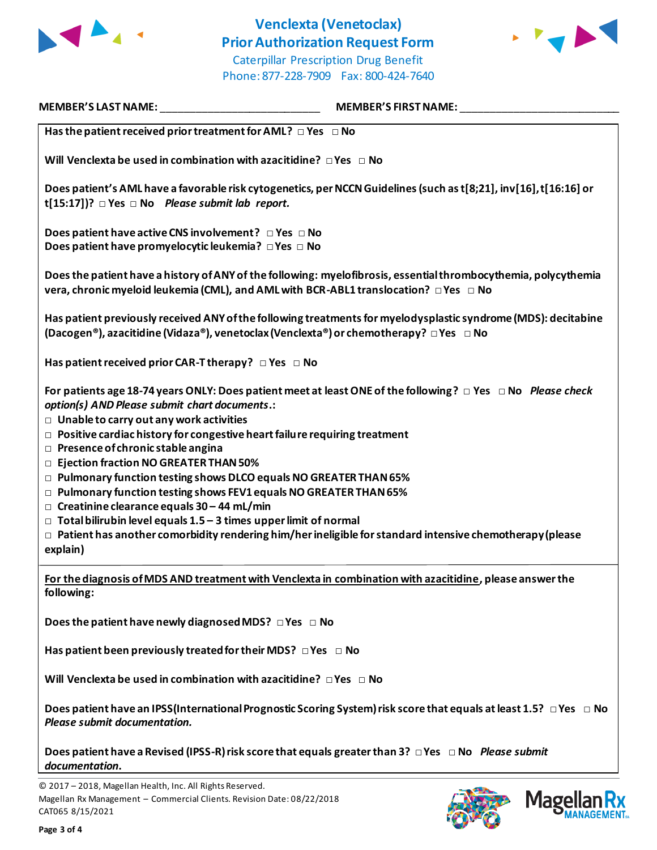

### **Venclexta (Venetoclax) Prior Authorization Request Form** Caterpillar Prescription Drug Benefit



Phone: 877-228-7909 Fax: 800-424-7640

| <b>MEMBER'S LAST NAME:</b>                                                                                                                                                                                                                                                                                                                                                                                                                                                                                                                                                                                                                                                       | <b>MEMBER'S FIRST NAME:</b>                                                                                                   |
|----------------------------------------------------------------------------------------------------------------------------------------------------------------------------------------------------------------------------------------------------------------------------------------------------------------------------------------------------------------------------------------------------------------------------------------------------------------------------------------------------------------------------------------------------------------------------------------------------------------------------------------------------------------------------------|-------------------------------------------------------------------------------------------------------------------------------|
| Has the patient received prior treatment for AML? $\Box$ Yes $\Box$ No                                                                                                                                                                                                                                                                                                                                                                                                                                                                                                                                                                                                           |                                                                                                                               |
| Will Venclexta be used in combination with azacitidine? $\Box$ Yes $\Box$ No                                                                                                                                                                                                                                                                                                                                                                                                                                                                                                                                                                                                     |                                                                                                                               |
| Does patient's AML have a favorable risk cytogenetics, per NCCN Guidelines (such as t[8;21], inv[16], t[16:16] or<br>t[15:17])? $\Box$ Yes $\Box$ No Please submit lab report.                                                                                                                                                                                                                                                                                                                                                                                                                                                                                                   |                                                                                                                               |
| Does patient have active CNS involvement? □ Yes □ No<br>Does patient have promyelocytic leukemia? DYes D No                                                                                                                                                                                                                                                                                                                                                                                                                                                                                                                                                                      |                                                                                                                               |
| vera, chronic myeloid leukemia (CML), and AML with BCR-ABL1 translocation? $\Box$ Yes $\Box$ No                                                                                                                                                                                                                                                                                                                                                                                                                                                                                                                                                                                  | Does the patient have a history of ANY of the following: myelofibrosis, essential thrombocythemia, polycythemia               |
| (Dacogen®), azacitidine (Vidaza®), venetoclax (Venclexta®) or chemotherapy? □ Yes □ No                                                                                                                                                                                                                                                                                                                                                                                                                                                                                                                                                                                           | Has patient previously received ANY of the following treatments for myelodysplastic syndrome (MDS): decitabine                |
| Has patient received prior CAR-T therapy? $\Box$ Yes $\Box$ No                                                                                                                                                                                                                                                                                                                                                                                                                                                                                                                                                                                                                   |                                                                                                                               |
| For patients age 18-74 years ONLY: Does patient meet at least ONE of the following? $\Box$ Yes $\Box$ No Please check<br>option(s) AND Please submit chart documents.:<br>$\Box$ Unable to carry out any work activities<br>$\Box$ Positive cardiac history for congestive heart failu re requiring treatment<br>$\Box$ Presence of chronic stable angina<br>D Ejection fraction NO GREATER THAN 50%<br>□ Pulmonary function testing shows DLCO equals NO GREATER THAN 65%<br>□ Pulmonary function testing shows FEV1 equals NO GREATER THAN 65%<br>$\Box$ Creatinine clearance equals 30 - 44 mL/min<br>$\Box$ Total bilirubin level equals 1.5 – 3 times upper limit of normal |                                                                                                                               |
| $\Box$ Patient has another comorbidity rendering him/her ineligible for standard intensive chemotherapy (please<br>explain)                                                                                                                                                                                                                                                                                                                                                                                                                                                                                                                                                      |                                                                                                                               |
| For the diagnosis of MDS AND treatment with Venclexta in combination with azacitidine, please answer the<br>following:                                                                                                                                                                                                                                                                                                                                                                                                                                                                                                                                                           |                                                                                                                               |
| Does the patient have newly diagnosed MDS? $\Box$ Yes $\Box$ No                                                                                                                                                                                                                                                                                                                                                                                                                                                                                                                                                                                                                  |                                                                                                                               |
| Has patient been previously treated for their MDS? $\Box$ Yes $\Box$ No                                                                                                                                                                                                                                                                                                                                                                                                                                                                                                                                                                                                          |                                                                                                                               |
| Will Venclexta be used in combination with azacitidine? $\Box$ Yes $\Box$ No                                                                                                                                                                                                                                                                                                                                                                                                                                                                                                                                                                                                     |                                                                                                                               |
| Please submit documentation.                                                                                                                                                                                                                                                                                                                                                                                                                                                                                                                                                                                                                                                     | Does patient have an IPSS (International Prognostic Scoring System) risk score that equals at least 1.5? $\Box$ Yes $\Box$ No |
| Does patient have a Revised (IPSS-R) risk score that equals greater than 3? □ Yes □ No Please submit<br>documentation.                                                                                                                                                                                                                                                                                                                                                                                                                                                                                                                                                           |                                                                                                                               |
| © 2017 - 2018, Magellan Health, Inc. All Rights Reserved.                                                                                                                                                                                                                                                                                                                                                                                                                                                                                                                                                                                                                        |                                                                                                                               |

Magellan Rx Management – Commercial Clients. Revision Date: 08/22/2018 CAT065 8/15/2021